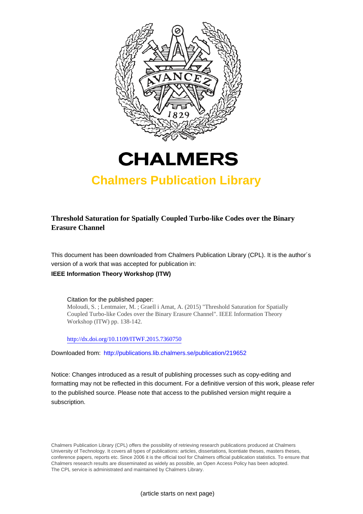



## **Chalmers Publication Library**

## **Threshold Saturation for Spatially Coupled Turbo-like Codes over the Binary Erasure Channel**

This document has been downloaded from Chalmers Publication Library (CPL). It is the author´s version of a work that was accepted for publication in:

### **IEEE Information Theory Workshop (ITW)**

Citation for the published paper: Moloudi, S. ; Lentmaier, M. ; Graell i Amat, A. (2015) "Threshold Saturation for Spatially Coupled Turbo-like Codes over the Binary Erasure Channel". IEEE Information Theory Workshop (ITW) pp. 138-142.

<http://dx.doi.org/10.1109/ITWF.2015.7360750>

Downloaded from: <http://publications.lib.chalmers.se/publication/219652>

Notice: Changes introduced as a result of publishing processes such as copy-editing and formatting may not be reflected in this document. For a definitive version of this work, please refer to the published source. Please note that access to the published version might require a subscription.

Chalmers Publication Library (CPL) offers the possibility of retrieving research publications produced at Chalmers University of Technology. It covers all types of publications: articles, dissertations, licentiate theses, masters theses, conference papers, reports etc. Since 2006 it is the official tool for Chalmers official publication statistics. To ensure that Chalmers research results are disseminated as widely as possible, an Open Access Policy has been adopted. The CPL service is administrated and maintained by Chalmers Library.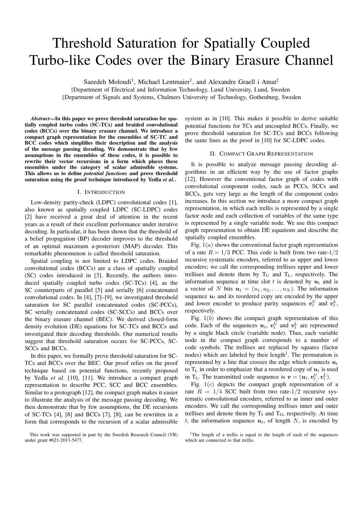# Threshold Saturation for Spatially Coupled Turbo-like Codes over the Binary Erasure Channel

Saeedeh Moloudi<sup>†</sup>, Michael Lentmaier<sup>†</sup>, and Alexandre Graell i Amat<sup>‡</sup>

†Department of Electrical and Information Technology, Lund University, Lund, Sweden ‡Department of Signals and Systems, Chalmers University of Technology, Gothenburg, Sweden

*Abstract*—In this paper we prove threshold saturation for spatially coupled turbo codes (SC-TCs) and braided convolutional codes (BCCs) over the binary erasure channel. We introduce a compact graph representation for the ensembles of SC-TC and BCC codes which simplifies their description and the analysis of the message passing decoding. We demonstrate that by few assumptions in the ensembles of these codes, it is possible to rewrite their vector recursions in a form which places these ensembles under the category of scalar admissible systems. This allows us to define *potential functions* and prove threshold saturation using the proof technique introduced by Yedla *et al.*.

#### I. INTRODUCTION

Low-density parity-check (LDPC) convolutional codes [1], also known as spatially coupled LDPC (SC-LDPC) codes [2] have received a great deal of attention in the recent years as a result of their excellent performance under iterative decoding. In particular, it has been shown that the threshold of a belief propagation (BP) decoder improves to the threshold of an optimal maximum a-posteriori (MAP) decoder. This remarkable phenomenon is called threshold saturation.

Spatial coupling is not limited to LDPC codes. Braided convolutional codes (BCCs) are a class of spatially coupled (SC) codes introduced in [3]. Recently, the authors introduced spatially coupled turbo codes (SC-TCs) [4], as the SC counterparts of parallel [5] and serially [6] concatenated convolutional codes. In [4], [7]–[9], we investigated threshold saturation for SC parallel concatenated codes (SC-PCCs), SC serially concatenated codes (SC-SCCs) and BCCs over the binary erasure channel (BEC). We derived closed-form density evolution (DE) equations for SC-TCs and BCCs and investigated their decoding thresholds. Our numerical results suggest that threshold saturation occurs for SC-PCCs, SC-SCCs and BCCs.

In this paper, we formally prove threshold saturation for SC-TCs and BCCs over the BEC. Our proof relies on the proof technique based on potential functions, recently proposed by Yedla *et al.* [10], [11]. We introduce a compact graph representation to describe PCC, SCC and BCC ensembles. Similar to a protograph [12], the compact graph makes it easier to illustrate the analysis of the message passing decoding. We then demonstrate that by few assumptions, the DE recursions of SC-TCs [4], [8] and BCCs [7], [8], can be rewritten in a form that corresponds to the recursion of a scalar admissible

system as in [10]. This makes it possible to derive suitable potential functions for TCs and uncoupled BCCs. Finally, we prove threshold saturation for SC-TCs and BCCs following the same lines as the proof in [10] for SC-LDPC codes.

#### II. COMPACT GRAPH REPRESENTATION

It is possible to analyze message passing decoding algorithms in an efficient way by the use of factor graphs [12]. However the conventional factor graph of codes with convolutional component codes, such as PCCs, SCCs and BCCs, gets very large as the length of the component codes increases. In this section we introduce a more compact graph representation, in which each trellis is represented by a single factor node and each collection of variables of the same type is represented by a single variable node. We use this compact graph representation to obtain DE equations and describe the spatially coupled ensembles.

Fig.  $1(a)$  shows the conventional factor graph representation of a rate  $R = 1/3$  PCC. This code is built from two rate- $1/2$ recursive systematic encoders, referred to as upper and lower encoders; we call the corresponding trellises upper and lower trellises and denote them by  $T_U$  and  $T_L$ , respectively. The information sequence at time slot t is denoted by  $u_t$  and is a vector of N bits  $u_t = (u_1, u_2, \dots, u_N)$ . The information sequence  $u_t$  and its reordered copy are encoded by the upper and lower encoder to produce parity sequences  $v_t^U$  and  $v_t^L$ , respectively.

Fig.  $1(b)$  shows the compact graph representation of this code. Each of the sequences  $u_t$ ,  $v_t^U$  and  $v_t^L$  are represented by a single black circle (variable node). Thus, each variable node in the compact graph corresponds to a number of code symbols. The trellises are replaced by squares (factor nodes) which are labeled by their length<sup>1</sup>. The permutation is represented by a line that crosses the edge which connects  $u_t$ to  $T<sub>L</sub>$  in order to emphasize that a reordered copy of  $u<sub>t</sub>$  is used in T<sub>L</sub>. The transmitted code sequence is  $v = (u_t, v_t^U, v_t^L)$ .

Fig.  $1(c)$  depicts the compact graph representation of a rate  $R = 1/4$  SCC built from two rate-1/2 recursive systematic convolutional encoders, referred to as inner and outer encoders. We call the corresponding trellises inner and outer trellises and denote them by  $T_I$  and  $T_O$ , respectively. At time t, the information sequence  $u_t$ , of length N, is encoded by

This work was supported in part by the Swedish Research Council (VR) under grant #621-2013-5477.

<sup>&</sup>lt;sup>1</sup>The length of a trellis is equal to the length of each of the sequences which are connected to that trellis.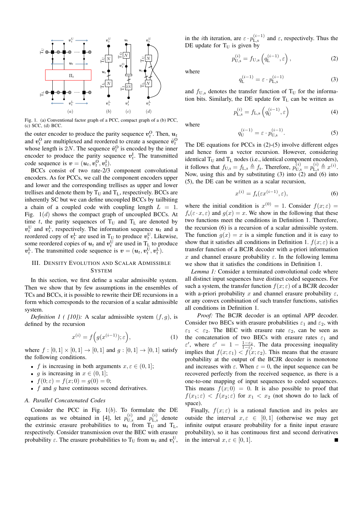

Fig. 1. (a) Conventional factor graph of a PCC, compact graph of a (b) PCC, (c) SCC, (d) BCC.

the outer encoder to produce the parity sequence  $v_t^0$ . Then,  $u_t$ and  $v_t^0$  are multiplexed and reordered to create a sequence  $\tilde{v}_t^0$ whose length is 2N. The sequence  $\tilde{v}_t^0$  is encoded by the inner encoder to produce the parity sequence  $v_t^{\text{I}}$ . The transmitted code sequence is  $v = (u_t, v_t^0, v_t^1)$ .

BCCs consist of two rate-2/3 component convolutional encoders. As for PCCs, we call the component encoders upper and lower and the corresponding trellises as upper and lower trellises and denote them by  $T_U$  and  $T_L$ , respectively. BCCs are inherently SC but we can define uncoupled BCCs by tailbiting a chain of a coupled code with coupling length  $L = 1$ . Fig.  $1(d)$  shows the compact graph of uncoupled BCCs. At time  $t$ , the parity sequences of  $T_U$  and  $T_L$  are denoted by  $v_t^{\text{U}}$  and  $v_t^{\text{L}}$ , respectively. The information sequence  $u_t$  and a reordered copy of  $v_t^L$  are used in T<sub>U</sub> to produce  $v_t^U$ . Likewise, some reordered copies of  $u_t$  and  $v_t^{\text{U}}$  are used in  $T_{\text{L}}$  to produce  $v_t^L$ . The transmitted code sequence is  $v = (u_t, v_t^U, v_t^L)$ .

#### III. DENSITY EVOLUTION AND SCALAR ADMISSIBLE **SYSTEM**

In this section, we first define a scalar admissible system. Then we show that by few assumptions in the ensembles of TCs and BCCs, it is possible to rewrite their DE recursions in a form which corresponds to the recursion of a scalar admissible system.

*Definition 1 ( [10]):* A scalar admissible system  $(f, g)$ , is defined by the recursion

$$
x^{(i)} = f\Big(g(x^{(i-1)}); \varepsilon\Big),\tag{1}
$$

where  $f : [0, 1] \times [0, 1] \to [0, 1]$  and  $g : [0, 1] \to [0, 1]$  satisfy the following conditions.

- f is increasing in both arguments  $x, \varepsilon \in (0, 1]$ ;
- *g* is increasing in  $x \in (0, 1]$ ;
- $f(0; \varepsilon) = f(x; 0) = g(0) = 0;$
- $f$  and  $q$  have continuous second derivatives.

#### *A. Parallel Concatenated Codes*

Consider the PCC in Fig.  $1(b)$ . To formulate the DE equations as we obtained in [4], let  $p_{U,s}^{(i)}$  and  $p_{L,s}^{(i)}$  denote the extrinsic erasure probabilities to  $u_t$  from  $T_U$  and  $T_L$ , respectively. Consider transmission over the BEC with erasure probability  $\varepsilon$ . The erasure probabilities to T<sub>U</sub> from  $u_t$  and  $v_t^{\text{U}}$ , in the *i*th iteration, are  $\varepsilon \cdot p_{\text{L},s}^{(i-1)}$  and  $\varepsilon$ , respectively. Thus the DE update for  $T<sub>U</sub>$  is given by

$$
p_{\mathrm{U},\mathrm{s}}^{(i)} = f_{\mathrm{U},\mathrm{s}}\left(q_{\mathrm{L}}^{(i-1)},\varepsilon\right),\tag{2}
$$

where

$$
q_{\mathcal{L}}^{(i-1)} = \varepsilon \cdot p_{\mathcal{L},\mathbf{s}}^{(i-1)} \tag{3}
$$

and  $f_{\text{U},\text{s}}$  denotes the transfer function of T<sub>U</sub> for the information bits. Similarly, the DE update for  $T_L$  can be written as

$$
p_{\text{L},\text{s}}^{(i)} = f_{\text{L},\text{s}}\left(q_{\text{U}}^{(i-1)},\varepsilon\right) \tag{4}
$$

where

$$
q_{\mathrm{U}}^{(i-1)} = \varepsilon \cdot p_{\mathrm{U},\mathrm{s}}^{(i-1)}.\tag{5}
$$

The DE equations for PCCs in (2)-(5) involve different edges and hence form a vector recursion. However, considering identical  $T_U$  and  $T_L$  nodes (i.e., identical component encoders), it follows that  $f_{U,s} = f_{L,s} \triangleq f_s$ . Therefore,  $p_{U,s}^{(i)} = p_{L,s}^{(i)} \triangleq x^{(i)}$ . Now, using this and by substituting  $(3)$  into  $(2)$  and  $(6)$  into (5), the DE can be written as a scalar recursion,

$$
x^{(i)} = f_s(\varepsilon x^{(i-1)}, \varepsilon),\tag{6}
$$

where the initial condition is  $x^{(0)} = 1$ . Consider  $f(x; \varepsilon) =$  $f_s(\varepsilon \cdot x, \varepsilon)$  and  $g(x) = x$ . We show in the following that these two functions meet the conditions in Definition 1. Therefore, the recursion (6) is a recursion of a scalar admissible system. The function  $q(x) = x$  is a simple function and it is easy to show that it satisfies all conditions in Definition 1.  $f(x; \varepsilon)$  is a transfer function of a BCJR decoder with a-priori information x and channel erasure probability  $\varepsilon$ . In the following lemma we show that it satisfies the conditions in Definition 1.

*Lemma 1:* Consider a terminated convolutional code where all distinct input sequences have distinct coded sequences. For such a system, the transfer function  $f(x; \varepsilon)$  of a BCJR decoder with a-priori probability x and channel erasure probability  $\varepsilon$ , or any convex combination of such transfer functions, satisfies all conditions in Definition 1.

*Proof:* The BCJR decoder is an optimal APP decoder. Consider two BECs with erasure probabilities  $\varepsilon_1$  and  $\varepsilon_2$ , with  $\varepsilon_1$  <  $\varepsilon_2$ . The BEC with erasure rate  $\varepsilon_2$ , can be seen as the concatenation of two BECs with erasure rates  $\varepsilon_1$  and  $\varepsilon'$ , where  $\varepsilon' = 1 - \frac{1-\varepsilon_2}{1-\varepsilon_1}$ . The data processing inequality implies that  $f(x; \varepsilon_1) < f(x; \varepsilon_2)$ . This means that the erasure probability at the output of the BCJR decoder is monotone and increases with  $\varepsilon$ . When  $\varepsilon = 0$ , the input sequence can be recovered perfectly from the received sequence, as there is a one-to-one mapping of input sequences to coded sequences. This means  $f(x; 0) = 0$ . It is also possible to proof that  $f(x_1; \varepsilon) < f(x_2; \varepsilon)$  for  $x_1 < x_2$  (not shown do to lack of space).

Finally,  $f(x; \varepsilon)$  is a rational function and its poles are outside the interval  $x, \varepsilon \in [0, 1]$  (otherwise we may get infinite output erasure probability for a finite input erasure probability), so it has continuous first and second derivatives in the interval  $x, \varepsilon \in [0, 1]$ .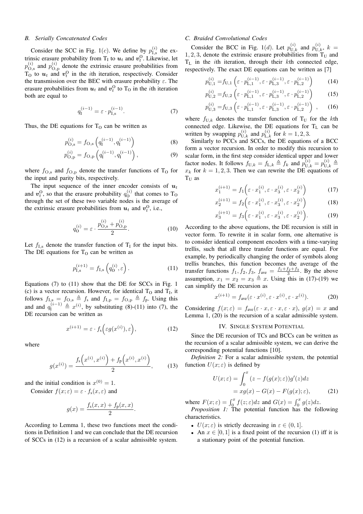#### *B. Serially Concatenated Codes*

Consider the SCC in Fig. 1(c). We define by  $p_1^{(i)}$  $I_{\text{I},\text{s}}^{(i)}$  the extrinsic erasure probability from  $T_1$  to  $u_t$  and  $v_t^0$ . Likewise, let  $p_{\bigodot}^{(i)}$  $\mathbf{q}_{\mathrm{O,s}}^{(i)}$  and  $p_{\mathrm{O,s}}^{(i)}$  $\mathcal{O}_{\text{O,p}}^{(i)}$  denote the extrinsic erasure probabilities from  $T_0$  to  $u_t$  and  $v_t^0$  in the *i*th iteration, respectively. Consider the transmission over the BEC with erasure probability  $\varepsilon$ . The erasure probabilities from  $u_t$  and  $v_t^0$  to T<sub>O</sub> in the *i*th iteration both are equal to

$$
q_{\mathbf{I}}^{(i-1)} = \varepsilon \cdot p_{\mathbf{I},\mathbf{s}}^{(i-1)}.
$$
 (7)

Thus, the DE equations for  $T<sub>O</sub>$  can be written as

$$
p_{\text{O,s}}^{(i)} = f_{\text{O,s}}\left(q_1^{(i-1)}, q_1^{(i-1)}\right) \tag{8}
$$

$$
p_{\text{O,p}}^{(i)} = f_{\text{O,p}}\left(q_1^{(i-1)}, q_1^{(i-1)}\right),\tag{9}
$$

where  $f_{\text{O,s}}$  and  $f_{\text{O,p}}$  denote the transfer functions of  $T_0$  for the input and parity bits, respectively.

The input sequence of the inner encoder consists of  $u_t$ and  $v_t^0$ , so that the erasure probability  $q_0^{(i)}$  $\sigma_0^{(i)}$  that comes to T<sub>O</sub> through the set of these two variable nodes is the average of the extrinsic erasure probabilities from  $u_t$  and  $v_t^0$ , i.e.,

$$
q_0^{(i)} = \varepsilon \cdot \frac{p_{\text{O,s}}^{(i)} + p_{\text{O,p}}^{(i)}}{2}.
$$
 (10)

Let  $f_{\text{I},s}$  denote the transfer function of  $T_{\text{I}}$  for the input bits. The DE equations for  $T<sub>O</sub>$  can be written as

$$
p_{\mathrm{I},\mathrm{s}}^{(i+1)} = f_{\mathrm{I},\mathrm{s}}\left(q_0^{(i)},\varepsilon\right). \tag{11}
$$

Equations (7) to (11) show that the DE for SCCs in Fig. 1 (c) is a vector recursion. However, for identical  $T_0$  and  $T_I$ , it follows  $f_{I,s} = f_{O,s} \triangleq f_s$  and  $f_{I,p} = f_{O,p} \triangleq f_p$ . Using this and and  $q_{\text{I}}^{(i-1)} \triangleq x^{(i)}$ , by substituting (8)-(11) into (7), the DE recursion can be written as

$$
x^{(i+1)} = \varepsilon \cdot f_s\Big(\varepsilon g(x^{(i)}), \varepsilon\Big),\tag{12}
$$

.

where

$$
g(x^{(i)}) = \frac{f_s(x^{(i)}, x^{(i)}) + f_p(x^{(i)}, x^{(i)})}{2}, \quad (13)
$$

and the initial condition is  $x^{(0)} = 1$ .

Consider  $f(x; \varepsilon) = \varepsilon \cdot f_s(x; \varepsilon)$  and

$$
g(x) = \frac{f_s(x, x) + f_p(x, x)}{2}
$$

According to Lemma 1, these two functions meet the conditions in Definition 1 and we can conclude that the DE recursion of SCCs in (12) is a recursion of a scalar admissible system.

#### *C. Braided Convolutional Codes*

Consider the BCC in Fig. 1(d). Let  $p_{U,k}^{(i)}$  and  $p_{U,k}^{(i)}$ ,  $k =$ 1, 2, 3, denote the extrinsic erasure probabilities from  $T_U$  and  $T_L$  in the *i*th iteration, through their *kth* connected edge, respectively. The exact DE equations can be written as [7]

$$
p_{\mathrm{U},1}^{(i)} = f_{\mathrm{U},1} \left( \varepsilon \cdot p_{\mathrm{L},1}^{(i-1)}, \varepsilon \cdot p_{\mathrm{L},3}^{(i-1)}, \varepsilon \cdot p_{\mathrm{L},2}^{(i-1)} \right) \tag{14}
$$

$$
p_{\mathrm{U},2}^{(i)} = f_{\mathrm{U},2} \left( \varepsilon \cdot p_{\mathrm{L},1}^{(i-1)}, \varepsilon \cdot p_{\mathrm{L},3}^{(i-1)}, \varepsilon \cdot p_{\mathrm{L},2}^{(i-1)} \right) \tag{15}
$$

$$
p_{\mathrm{U},3}^{(i)} = f_{\mathrm{U},3} \left( \varepsilon \cdot p_{\mathrm{L},1}^{(i-1)}, \varepsilon \cdot p_{\mathrm{L},3}^{(i-1)}, \varepsilon \cdot p_{\mathrm{L},2}^{(i-1)} \right) ,\qquad(16)
$$

where  $f_{U,k}$  denotes the transfer function of T<sub>U</sub> for the kth connected edge. Likewise, the DE equations for  $T_L$  can be written by swapping  $p_{U,k}^{(i)}$  and  $p_{L,k}^{(i)}$  for  $k = 1, 2, 3$ .

Similarly to PCCs and SCCs, the DE equations of a BCC form a vector recursion. In order to modify this recursion to scalar form, in the first step consider identical upper and lower factor nodes. It follows  $f_{U,k} = f_{L,k} \triangleq f_k$  and  $p_{U,k}^{(i)} = p_{U,k}^{(i)} \triangleq$  $x_k$  for  $k = 1, 2, 3$ . Then we can rewrite the DE equations of  $T<sub>U</sub>$  as

$$
x_1^{(i+1)} = f_1 \left( \varepsilon \cdot x_1^{(i)}, \varepsilon \cdot x_3^{(i)}, \varepsilon \cdot x_2^{(i)} \right) \tag{17}
$$

$$
x_2^{(i+1)} = f_2\left(\varepsilon \cdot x_1^{(i)}, \varepsilon \cdot x_3^{(i)}, \varepsilon \cdot x_2^{(i)}\right) \tag{18}
$$

$$
x_3^{(i+1)} = f_3\left(\varepsilon \cdot x_1^{(i)}, \varepsilon \cdot x_3^{(i)}, \varepsilon \cdot x_2^{(i)}\right). \tag{19}
$$

According to the above equations, the DE recursion is still in vector form. To rewrite it in scalar form, one alternative is to consider identical component encoders with a time-varying trellis, such that all three transfer functions are equal. For example, by periodically changing the order of symbols along trellis branches, this function becomes the average of the transfer functions  $f_1, f_2, f_3, f_{ave} = \frac{f_1 + f_2 + f_3}{3}$ . By the above assumption,  $x_1 = x_2 = x_3 \triangleq x$ . Using this in (17)-(19) we can simplify the DE recursion as

$$
x^{(i+1)} = f_{\text{ave}}(\varepsilon \cdot x^{(i)}, \varepsilon \cdot x^{(i)}, \varepsilon \cdot x^{(i)}). \tag{20}
$$

Considering  $f(x; \varepsilon) = f_{\text{ave}}(\varepsilon \cdot x, \varepsilon \cdot x, \varepsilon \cdot x), g(x) = x$  and Lemma 1, (20) is the recursion of a scalar admissible system.

#### IV. SINGLE SYSTEM POTENTIAL

Since the DE recursion of TCs and BCCs can be written as the recursion of a scalar admissible system, we can derive the corresponding potential functions [10].

*Definition 2:* For a scalar admissible system, the potential function  $U(x; \varepsilon)$  is defined by

$$
U(x; \varepsilon) = \int_0^x (z - f(g(x); \varepsilon))g'(z)dz
$$
  
=  $xg(x) - G(x) - F(g(x); \varepsilon)$ , (21)

where  $F(x; \varepsilon) = \int_0^x f(z; \varepsilon) dz$  and  $G(x) = \int_0^x g(z) dz$ .

*Proposition 1:* The potential function has the following characteristics.

- $U(x; \varepsilon)$  is strictly decreasing in  $\varepsilon \in (0, 1]$ .
- An  $x \in [0, 1]$  is a fixed point of the recursion (1) iff it is a stationary point of the potential function.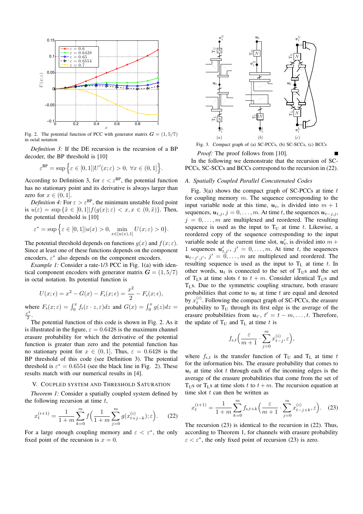

Fig. 2. The potential function of PCC with generator matrix  $G = (1, 5/7)$ in octal notation

*Definition 3:* If the DE recursion is the recursion of a BP decoder, the BP threshold is [10]

$$
\varepsilon^{\text{BP}} = \sup \Big\{ \varepsilon \in [0,1] | U'(x;\varepsilon) > 0, \ \forall x \in (0,1] \Big\}.
$$

According to Definition 3, for  $\varepsilon < \varepsilon^{BP}$ , the potential function has no stationary point and its derivative is always larger than zero for  $x \in (0, 1]$ .

*Definition 4:* For  $\varepsilon > \varepsilon^{BP}$ , the minimum unstable fixed point is  $u(\varepsilon) = \sup \{\tilde{x} \in [0,1] | f(g(x); \varepsilon) < x, x \in (0, \tilde{x})\}.$  Then, the potential threshold is [10]

$$
\varepsilon^* = \sup \Big\{ \varepsilon \in [0,1] | u(x) > 0, \min_{x \in [u(x),1]} U(x;\varepsilon) > 0 \}.
$$

The potential threshold depends on functions  $g(x)$  and  $f(x; \varepsilon)$ . Since at least one of these functions depends on the component encoders,  $\varepsilon^*$  also depends on the component encoders.

*Example 1:* Consider a rate-1/3 PCC in Fig. 1(a) with identical component encoders with generator matrix  $G = (1, 5/7)$ in octal notation. Its potential function is

$$
U(x; \epsilon) = x^2 - G(x) - F_s(x; \epsilon) = \frac{x^2}{2} - F_s(x; \epsilon),
$$
  
where  $F_s(x; \epsilon) = \int_0^x f_s(\epsilon \cdot z, \epsilon) dz$  and  $G(x) = \int_0^x g(z) dz = \frac{x^2}{2}$ .

2 The potential function of this code is shown in Fig. 2. As it is illustrated in the figure,  $\varepsilon = 0.6428$  is the maximum channel erasure probability for which the derivative of the potential function is greater than zero and the potential function has no stationary point for  $x \in (0, 1]$ . Thus,  $\varepsilon = 0.6428$  is the BP threshold of this code (see Definition 3). The potential threshold is  $\varepsilon^* = 0.6554$  (see the black line in Fig. 2). These results match with our numerical results in [4].

#### V. COUPLED SYSTEM AND THRESHOLD SATURATION

*Theorem 1:* Consider a spatially coupled system defined by the following recursion at time  $t$ ,

$$
x_t^{(i+1)} = \frac{1}{1+m} \sum_{k=0}^m f\left(\frac{1}{1+m} \sum_{j=0}^m g(x_{t+j-k}^{(i)}); \varepsilon\right). \tag{22}
$$

For a large enough coupling memory and  $\varepsilon < \varepsilon^*$ , the only fixed point of the recursion is  $x = 0$ .



Fig. 3. Compact graph of (a) SC-PCCs, (b) SC-SCCs, (c) BCCs

*Proof:* The proof follows from [10].

In the following we demonstrate that the recursion of SC-PCCs, SC-SCCs and BCCs correspond to the recursion in (22).

#### *A. Spatially Coupled Parallel Concatenated Codes*

Fig. 3(a) shows the compact graph of SC-PCCs at time  $t$ for coupling memory  $m$ . The sequence corresponding to the input variable node at this time,  $u_t$ , is divided into  $m + 1$ sequences,  $u_{t,j}$ ,  $j = 0, \ldots, m$ . At time t, the sequences  $u_{t-j,j}$ ,  $j = 0, \ldots, m$  are multiplexed and reordered. The resulting sequence is used as the input to  $T_U$  at time t. Likewise, a reordered copy of the sequence corresponding to the input variable node at the current time slot,  $u'_t$ , is divided into  $m +$ 1 sequences  $u'_{t,j}, j' = 0, \ldots, m$ . At time t, the sequences  $u_{t-j',j'}$ ,  $j' = 0, \ldots, m$  are multiplexed and reordered. The resulting sequence is used as the input to  $T_L$  at time t. In other words,  $u_t$  is connected to the set of T<sub>US</sub> and the set of T<sub>LS</sub> at time slots t to  $t + m$ . Consider identical T<sub>US</sub> and  $T<sub>L</sub>$ s. Due to the symmetric coupling structure, both erasure probabilities that come to  $u_t$  at time t are equal and denoted by  $x_t^{(i)}$ . Following the compact graph of SC-PCCs, the erasure probability to  $T_U$  through its first edge is the average of the erasure probabilities from  $u_{t}$ ,  $t' = t - m, \ldots, t$ . Therefore, the update of  $T_U$  and  $T_L$  at time t is

$$
f_{s,t}\left(\frac{\varepsilon}{m+1}\cdot\sum_{j=0}^m x_{t-j}^{(i)}, \varepsilon\right),\right.
$$

where  $f_{s,t}$  is the transfer function of T<sub>U</sub> and T<sub>L</sub> at time t for the information bits. The erasure probability that comes to  $u_t$  at time slot t through each of the incoming edges is the average of the erasure probabilities that come from the set of  $T<sub>U</sub>$  s or  $T<sub>I</sub>$  s at time slots t to  $t + m$ . The recursion equation at time slot  $t$  can then be written as

$$
x_t^{(i+1)} = \frac{1}{1+m} \sum_{k=0}^m f_{s,t+k} \left( \frac{\varepsilon}{m+1} \cdot \sum_{j=0}^m x_{t-j+k}^{(i)}, \varepsilon \right). \tag{23}
$$

The recursion (23) is identical to the recursion in (22). Thus, according to Theorem 1, for channels with erasure probability  $\varepsilon < \varepsilon^*$ , the only fixed point of recursion (23) is zero.